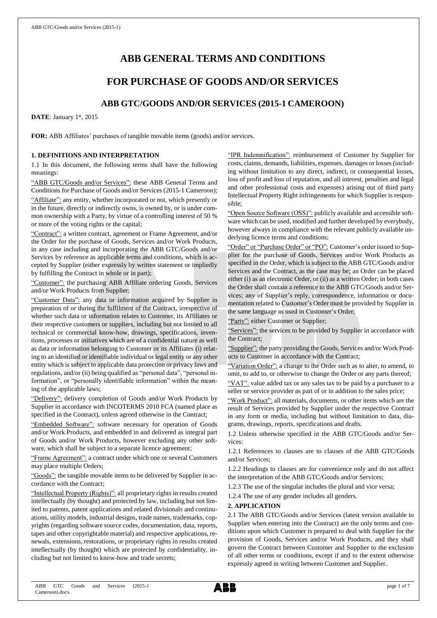# **ABB GENERAL TERMS AND CONDITIONS**

## **FOR PURCHASE OF GOODS AND/OR SERVICES**

## **ABB GTC/GOODS AND/OR SERVICES (2015-1 CAMEROON)**

DATE: January 1st, 2015

**FOR:** ABB Affiliates' purchases of tangible movable items (goods) and/or services.

## **1. DEFINITIONS AND INTERPRETATION**

1.1 In this document, the following terms shall have the following meanings:

"ABB GTC/Goods and/or Services": these ABB General Terms and Conditions for Purchase of Goods and/or Services (2015-1 Cameroon); "Affiliate": any entity, whether incorporated or not, which presently or in the future, directly or indirectly owns, is owned by, or is under common ownership with a Party, by virtue of a controlling interest of 50 % or more of the voting rights or the capital;

"Contract": a written contract, agreement or Frame Agreement, and/or the Order for the purchase of Goods, Services and/or Work Products, in any case including and incorporating the ABB GTC/Goods and/or Services by reference as applicable terms and conditions, which is accepted by Supplier (either expressly by written statement or impliedly by fulfilling the Contract in whole or in part);

"Customer": the purchasing ABB Affiliate ordering Goods, Services and/or Work Products from Supplier;

"Customer Data": any data or information acquired by Supplier in preparation of or during the fulfilment of the Contract, irrespective of whether such data or information relates to Customer, its Affiliates or their respective customers or suppliers, including but not limited to all technical or commercial know-how, drawings, specifications, inventions, processes or initiatives which are of a confidential nature as well as data or information belonging to Customer or its Affiliates (i) relating to an identified or identifiable individual or legal entity or any other entity which is subject to applicable data protection or privacy laws and regulations, and/or (ii) being qualified as "personal data", "personal information", or "personally identifiable information" within the meaning of the applicable laws;

"Delivery": delivery completion of Goods and/or Work Products by Supplier in accordance with INCOTERMS 2010 FCA (named place as specified in the Contract), unless agreed otherwise in the Contract;

edded Software": software necessary for operation of Goods and/or Work Products, and embedded in and delivered as integral part of Goods and/or Work Products, however excluding any other software, which shall be subject to a separate licence agreement;

"Frame Agreement": a contract under which one or several Customers may place multiple Orders;

"Goods": the tangible movable items to be delivered by Supplier in accordance with the Contract;

"Intellectual Property (Rights)": all proprietary rights in results created intellectually (by thought) and protected by law, including but not limited to patents, patent applications and related divisionals and continuations, utility models, industrial designs, trade names, trademarks, copyrights (regarding software source codes, documentation, data, reports, tapes and other copyrightable material) and respective applications, renewals, extensions, restorations, or proprietary rights in results created intellectually (by thought) which are protected by confidentiality, including but not limited to know-how and trade secrets;

"IPR Indemnification": reimbursement of Customer by Supplier for costs, claims, demands, liabilities, expenses, damages or losses (including without limitation to any direct, indirect, or consequential losses, loss of profit and loss of reputation, and all interest, penalties and legal and other professional costs and expenses) arising out of third party Intellectual Property Right infringements for which Supplier is responsible;

"Open Source Software (OSS)": publicly available and accessible software which can be used, modified and further developed by everybody, however always in compliance with the relevant publicly available underlying licence terms and conditions;

"Order" or "Purchase Order" or "PO": Customer's order issued to Supplier for the purchase of Goods, Services and/or Work Products as specified in the Order, which is subject to the ABB GTC/Goods and/or Services and the Contract, as the case may be; an Order can be placed either (i) as an electronic Order, or (ii) as a written Order; in both cases the Order shall contain a reference to the ABB GTC/Goods and/or Services; any of Supplier's reply, correspondence, information or documentation related to Customer's Order must be provided by Supplier in the same language as used in Customer's Order;

"Party": either Customer or Supplier;

"Services": the services to be provided by Supplier in accordance with the Contract;

"Supplier": the party providing the Goods, Services and/or Work Products to Customer in accordance with the Contract;

"Variation Order": a change to the Order such as to alter, to amend, to omit, to add to, or otherwise to change the Order or any parts thereof;

"VAT": value added tax or any sales tax to be paid by a purchaser to a seller or service provider as part of or in addition to the sales price;

"Work Product": all materials, documents, or other items which are the result of Services provided by Supplier under the respective Contract in any form or media, including but without limitation to data, diagrams, drawings, reports, specifications and drafts.

1.2 Unless otherwise specified in the ABB GTC/Goods and/or Services:

1.2.1 References to clauses are to clauses of the ABB GTC/Goods and/or Services;

1.2.2 Headings to clauses are for convenience only and do not affect the interpretation of the ABB GTC/Goods and/or Services;

1.2.3 The use of the singular includes the plural and vice versa;

1.2.4 The use of any gender includes all genders.

## **2. APPLICATION**

2.1 The ABB GTC/Goods and/or Services (latest version available to Supplier when entering into the Contract) are the only terms and conditions upon which Customer is prepared to deal with Supplier for the provision of Goods, Services and/or Work Products, and they shall govern the Contract between Customer and Supplier to the exclusion of all other terms or conditions, except if and to the extent otherwise expressly agreed in writing between Customer and Supplier.

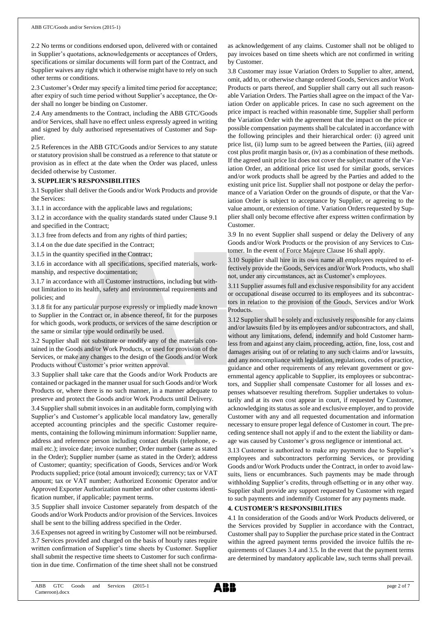2.2 No terms or conditions endorsed upon, delivered with or contained in Supplier's quotations, acknowledgements or acceptances of Orders, specifications or similar documents will form part of the Contract, and Supplier waives any right which it otherwise might have to rely on such other terms or conditions.

2.3 Customer's Order may specify a limited time period for acceptance; after expiry of such time period without Supplier's acceptance, the Order shall no longer be binding on Customer.

2.4 Any amendments to the Contract, including the ABB GTC/Goods and/or Services, shall have no effect unless expressly agreed in writing and signed by duly authorised representatives of Customer and Supplier.

2.5 References in the ABB GTC/Goods and/or Services to any statute or statutory provision shall be construed as a reference to that statute or provision as in effect at the date when the Order was placed, unless decided otherwise by Customer.

## **3. SUPPLIER'S RESPONSIBILITIES**

3.1 Supplier shall deliver the Goods and/or Work Products and provide the Services:

3.1.1 in accordance with the applicable laws and regulations;

3.1.2 in accordance with the quality standards stated under Clause 9.1 and specified in the Contract;

3.1.3 free from defects and from any rights of third parties;

3.1.4 on the due date specified in the Contract;

3.1.5 in the quantity specified in the Contract;

3.1.6 in accordance with all specifications, specified materials, workmanship, and respective documentation;

3.1.7 in accordance with all Customer instructions, including but without limitation to its health, safety and environmental requirements and policies; and

3.1.8 fit for any particular purpose expressly or impliedly made known to Supplier in the Contract or, in absence thereof, fit for the purposes for which goods, work products, or services of the same description or the same or similar type would ordinarily be used.

3.2 Supplier shall not substitute or modify any of the materials contained in the Goods and/or Work Products, or used for provision of the Services, or make any changes to the design of the Goods and/or Work Products without Customer's prior written approval.

3.3 Supplier shall take care that the Goods and/or Work Products are contained or packaged in the manner usual for such Goods and/or Work Products or, where there is no such manner, in a manner adequate to preserve and protect the Goods and/or Work Products until Delivery.

3.4 Supplier shall submit invoices in an auditable form, complying with Supplier's and Customer's applicable local mandatory law, generally accepted accounting principles and the specific Customer requirements, containing the following minimum information: Supplier name, address and reference person including contact details (telephone, email etc.); invoice date; invoice number; Order number (same as stated in the Order); Supplier number (same as stated in the Order); address of Customer; quantity; specification of Goods, Services and/or Work Products supplied; price (total amount invoiced); currency; tax or VAT amount; tax or VAT number; Authorized Economic Operator and/or Approved Exporter Authorization number and/or other customs identification number, if applicable; payment terms.

3.5 Supplier shall invoice Customer separately from despatch of the Goods and/or Work Products and/or provision of the Services. Invoices shall be sent to the billing address specified in the Order.

3.6 Expenses not agreed in writing by Customer will not be reimbursed. 3.7 Services provided and charged on the basis of hourly rates require written confirmation of Supplier's time sheets by Customer. Supplier shall submit the respective time sheets to Customer for such confirmation in due time. Confirmation of the time sheet shall not be construed as acknowledgement of any claims. Customer shall not be obliged to pay invoices based on time sheets which are not confirmed in writing by Customer.

3.8 Customer may issue Variation Orders to Supplier to alter, amend, omit, add to, or otherwise change ordered Goods, Services and/or Work Products or parts thereof, and Supplier shall carry out all such reasonable Variation Orders. The Parties shall agree on the impact of the Variation Order on applicable prices. In case no such agreement on the price impact is reached within reasonable time, Supplier shall perform the Variation Order with the agreement that the impact on the price or possible compensation payments shall be calculated in accordance with the following principles and their hierarchical order: (i) agreed unit price list, (ii) lump sum to be agreed between the Parties, (iii) agreed cost plus profit margin basis or, (iv) as a combination of these methods. If the agreed unit price list does not cover the subject matter of the Variation Order, an additional price list used for similar goods, services and/or work products shall be agreed by the Parties and added to the existing unit price list. Supplier shall not postpone or delay the performance of a Variation Order on the grounds of dispute, or that the Variation Order is subject to acceptance by Supplier, or agreeing to the value amount, or extension of time. Variation Orders requested by Supplier shall only become effective after express written confirmation by Customer.

3.9 In no event Supplier shall suspend or delay the Delivery of any Goods and/or Work Products or the provision of any Services to Customer. In the event of Force Majeure Clause 16 shall apply.

3.10 Supplier shall hire in its own name all employees required to effectively provide the Goods, Services and/or Work Products, who shall not, under any circumstances, act as Customer's employees.

3.11 Supplier assumes full and exclusive responsibility for any accident or occupational disease occurred to its employees and its subcontractors in relation to the provision of the Goods, Services and/or Work Products.

3.12 Supplier shall be solely and exclusively responsible for any claims and/or lawsuits filed by its employees and/or subcontractors, and shall, without any limitations, defend, indemnify and hold Customer harmless from and against any claim, proceeding, action, fine, loss, cost and damages arising out of or relating to any such claims and/or lawsuits, and any noncompliance with legislation, regulations, codes of practice, guidance and other requirements of any relevant government or governmental agency applicable to Supplier, its employees or subcontractors, and Supplier shall compensate Customer for all losses and expenses whatsoever resulting therefrom. Supplier undertakes to voluntarily and at its own cost appear in court, if requested by Customer, acknowledging its status as sole and exclusive employer, and to provide Customer with any and all requested documentation and information necessary to ensure proper legal defence of Customer in court. The preceding sentence shall not apply if and to the extent the liability or damage was caused by Customer's gross negligence or intentional act.

3.13 Customer is authorized to make any payments due to Supplier's employees and subcontractors performing Services, or providing Goods and/or Work Products under the Contract, in order to avoid lawsuits, liens or encumbrances. Such payments may be made through withholding Supplier's credits, through offsetting or in any other way. Supplier shall provide any support requested by Customer with regard to such payments and indemnify Customer for any payments made.

## **4. CUSTOMER'S RESPONSIBILITIES**

4.1 In consideration of the Goods and/or Work Products delivered, or the Services provided by Supplier in accordance with the Contract, Customer shall pay to Supplier the purchase price stated in the Contract within the agreed payment terms provided the invoice fulfils the requirements of Clauses 3.4 and 3.5. In the event that the payment terms are determined by mandatory applicable law, such terms shall prevail.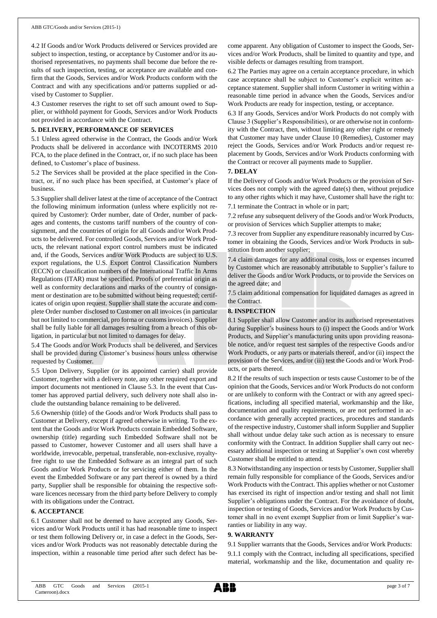4.2 If Goods and/or Work Products delivered or Services provided are subject to inspection, testing, or acceptance by Customer and/or its authorised representatives, no payments shall become due before the results of such inspection, testing, or acceptance are available and confirm that the Goods, Services and/or Work Products conform with the Contract and with any specifications and/or patterns supplied or advised by Customer to Supplier.

4.3 Customer reserves the right to set off such amount owed to Supplier, or withhold payment for Goods, Services and/or Work Products not provided in accordance with the Contract.

## **5. DELIVERY, PERFORMANCE OF SERVICES**

5.1 Unless agreed otherwise in the Contract, the Goods and/or Work Products shall be delivered in accordance with INCOTERMS 2010 FCA, to the place defined in the Contract, or, if no such place has been defined, to Customer's place of business.

5.2 The Services shall be provided at the place specified in the Contract, or, if no such place has been specified, at Customer's place of business.

5.3 Supplier shall deliver latest at the time of acceptance of the Contract the following minimum information (unless where explicitly not required by Customer): Order number, date of Order, number of packages and contents, the customs tariff numbers of the country of consignment, and the countries of origin for all Goods and/or Work Products to be delivered. For controlled Goods, Services and/or Work Products, the relevant national export control numbers must be indicated and, if the Goods, Services and/or Work Products are subject to U.S. export regulations, the U.S. Export Control Classification Numbers (ECCN) or classification numbers of the International Traffic In Arms Regulations (ITAR) must be specified. Proofs of preferential origin as well as conformity declarations and marks of the country of consignment or destination are to be submitted without being requested; certificates of origin upon request. Supplier shall state the accurate and complete Order number disclosed to Customer on all invoices (in particular but not limited to commercial, pro forma or customs invoices). Supplier shall be fully liable for all damages resulting from a breach of this obligation, in particular but not limited to damages for delay.

5.4 The Goods and/or Work Products shall be delivered, and Services shall be provided during Customer's business hours unless otherwise requested by Customer.

5.5 Upon Delivery, Supplier (or its appointed carrier) shall provide Customer, together with a delivery note, any other required export and import documents not mentioned in Clause 5.3. In the event that Customer has approved partial delivery, such delivery note shall also include the outstanding balance remaining to be delivered.

5.6 Ownership (title) of the Goods and/or Work Products shall pass to Customer at Delivery, except if agreed otherwise in writing. To the extent that the Goods and/or Work Products contain Embedded Software, ownership (title) regarding such Embedded Software shall not be passed to Customer, however Customer and all users shall have a worldwide, irrevocable, perpetual, transferable, non-exclusive, royaltyfree right to use the Embedded Software as an integral part of such Goods and/or Work Products or for servicing either of them. In the event the Embedded Software or any part thereof is owned by a third party, Supplier shall be responsible for obtaining the respective software licences necessary from the third party before Delivery to comply with its obligations under the Contract.

## **6. ACCEPTANCE**

6.1 Customer shall not be deemed to have accepted any Goods, Services and/or Work Products until it has had reasonable time to inspect or test them following Delivery or, in case a defect in the Goods, Services and/or Work Products was not reasonably detectable during the inspection, within a reasonable time period after such defect has become apparent. Any obligation of Customer to inspect the Goods, Services and/or Work Products, shall be limited to quantity and type, and visible defects or damages resulting from transport.

6.2 The Parties may agree on a certain acceptance procedure, in which case acceptance shall be subject to Customer's explicit written acceptance statement. Supplier shall inform Customer in writing within a reasonable time period in advance when the Goods, Services and/or Work Products are ready for inspection, testing, or acceptance.

6.3 If any Goods, Services and/or Work Products do not comply with Clause 3 (Supplier's Responsibilities), or are otherwise not in conformity with the Contract, then, without limiting any other right or remedy that Customer may have under Clause 10 (Remedies), Customer may reject the Goods, Services and/or Work Products and/or request replacement by Goods, Services and/or Work Products conforming with the Contract or recover all payments made to Supplier.

## **7. DELAY**

If the Delivery of Goods and/or Work Products or the provision of Services does not comply with the agreed date(s) then, without prejudice to any other rights which it may have, Customer shall have the right to: 7.1 terminate the Contract in whole or in part;

7.2 refuse any subsequent delivery of the Goods and/or Work Products, or provision of Services which Supplier attempts to make;

7.3 recover from Supplier any expenditure reasonably incurred by Customer in obtaining the Goods, Services and/or Work Products in substitution from another supplier;

7.4 claim damages for any additional costs, loss or expenses incurred by Customer which are reasonably attributable to Supplier's failure to deliver the Goods and/or Work Products, or to provide the Services on the agreed date; and

7.5 claim additional compensation for liquidated damages as agreed in the Contract.

## **8. INSPECTION**

8.1 Supplier shall allow Customer and/or its authorised representatives during Supplier's business hours to (i) inspect the Goods and/or Work Products, and Supplier's manufacturing units upon providing reasonable notice, and/or request test samples of the respective Goods and/or Work Products, or any parts or materials thereof, and/or (ii) inspect the provision of the Services, and/or (iii) test the Goods and/or Work Products, or parts thereof.

8.2 If the results of such inspection or tests cause Customer to be of the opinion that the Goods, Services and/or Work Products do not conform or are unlikely to conform with the Contract or with any agreed specifications, including all specified material, workmanship and the like, documentation and quality requirements, or are not performed in accordance with generally accepted practices, procedures and standards of the respective industry, Customer shall inform Supplier and Supplier shall without undue delay take such action as is necessary to ensure conformity with the Contract. In addition Supplier shall carry out necessary additional inspection or testing at Supplier's own cost whereby Customer shall be entitled to attend.

8.3 Notwithstanding any inspection or tests by Customer, Supplier shall remain fully responsible for compliance of the Goods, Services and/or Work Products with the Contract. This applies whether or not Customer has exercised its right of inspection and/or testing and shall not limit Supplier's obligations under the Contract. For the avoidance of doubt, inspection or testing of Goods, Services and/or Work Products by Customer shall in no event exempt Supplier from or limit Supplier's warranties or liability in any way.

## **9. WARRANTY**

9.1 Supplier warrants that the Goods, Services and/or Work Products: 9.1.1 comply with the Contract, including all specifications, specified material, workmanship and the like, documentation and quality re-

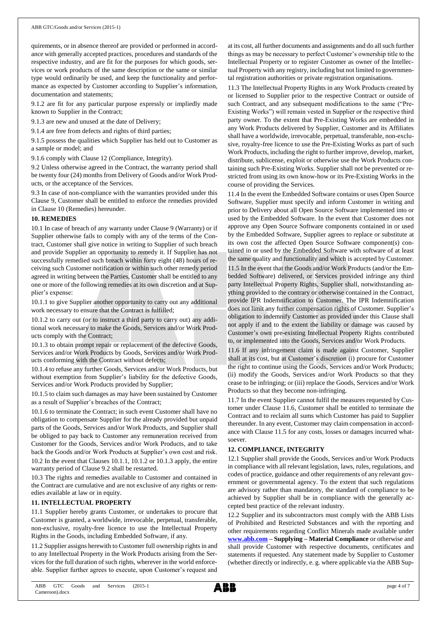quirements, or in absence thereof are provided or performed in accordance with generally accepted practices, procedures and standards of the respective industry, and are fit for the purposes for which goods, services or work products of the same description or the same or similar type would ordinarily be used, and keep the functionality and performance as expected by Customer according to Supplier's information, documentation and statements;

9.1.2 are fit for any particular purpose expressly or impliedly made known to Supplier in the Contract;

9.1.3 are new and unused at the date of Delivery;

9.1.4 are free from defects and rights of third parties;

9.1.5 possess the qualities which Supplier has held out to Customer as a sample or model; and

9.1.6 comply with Clause 12 (Compliance, Integrity).

9.2 Unless otherwise agreed in the Contract, the warranty period shall be twenty four (24) months from Delivery of Goods and/or Work Products, or the acceptance of the Services.

9.3 In case of non-compliance with the warranties provided under this Clause 9, Customer shall be entitled to enforce the remedies provided in Clause 10 (Remedies) hereunder.

## **10. REMEDIES**

10.1 In case of breach of any warranty under Clause 9 (Warranty) or if Supplier otherwise fails to comply with any of the terms of the Contract, Customer shall give notice in writing to Supplier of such breach and provide Supplier an opportunity to remedy it. If Supplier has not successfully remedied such breach within forty eight (48) hours of receiving such Customer notification or within such other remedy period agreed in writing between the Parties, Customer shall be entitled to any one or more of the following remedies at its own discretion and at Supplier's expense:

10.1.1 to give Supplier another opportunity to carry out any additional work necessary to ensure that the Contract is fulfilled;

10.1.2 to carry out (or to instruct a third party to carry out) any additional work necessary to make the Goods, Services and/or Work Products comply with the Contract;

10.1.3 to obtain prompt repair or replacement of the defective Goods, Services and/or Work Products by Goods, Services and/or Work Products conforming with the Contract without defects;

10.1.4 to refuse any further Goods, Services and/or Work Products, but without exemption from Supplier's liability for the defective Goods, Services and/or Work Products provided by Supplier;

10.1.5 to claim such damages as may have been sustained by Customer as a result of Supplier's breaches of the Contract;

10.1.6 to terminate the Contract; in such event Customer shall have no obligation to compensate Supplier for the already provided but unpaid parts of the Goods, Services and/or Work Products, and Supplier shall be obliged to pay back to Customer any remuneration received from Customer for the Goods, Services and/or Work Products, and to take back the Goods and/or Work Products at Supplier's own cost and risk. 10.2 In the event that Clauses 10.1.1, 10.1.2 or 10.1.3 apply, the entire warranty period of Clause 9.2 shall be restarted.

10.3 The rights and remedies available to Customer and contained in the Contract are cumulative and are not exclusive of any rights or remedies available at law or in equity.

## **11. INTELLECTUAL PROPERTY**

11.1 Supplier hereby grants Customer, or undertakes to procure that Customer is granted, a worldwide, irrevocable, perpetual, transferable, non-exclusive, royalty-free licence to use the Intellectual Property Rights in the Goods, including Embedded Software, if any.

11.2 Supplier assigns herewith to Customer full ownership rights in and to any Intellectual Property in the Work Products arising from the Services for the full duration of such rights, wherever in the world enforceable. Supplier further agrees to execute, upon Customer's request and

at its cost, all further documents and assignments and do all such further things as may be necessary to perfect Customer's ownership title to the Intellectual Property or to register Customer as owner of the Intellectual Property with any registry, including but not limited to governmental registration authorities or private registration organisations.

11.3 The Intellectual Property Rights in any Work Products created by or licensed to Supplier prior to the respective Contract or outside of such Contract, and any subsequent modifications to the same ("Pre-Existing Works") will remain vested in Supplier or the respective third party owner. To the extent that Pre-Existing Works are embedded in any Work Products delivered by Supplier, Customer and its Affiliates shall have a worldwide, irrevocable, perpetual, transferable, non-exclusive, royalty-free licence to use the Pre-Existing Works as part of such Work Products, including the right to further improve, develop, market, distribute, sublicense, exploit or otherwise use the Work Products containing such Pre-Existing Works. Supplier shall not be prevented or restricted from using its own know-how or its Pre-Existing Works in the course of providing the Services.

11.4 In the event the Embedded Software contains or uses Open Source Software, Supplier must specify and inform Customer in writing and prior to Delivery about all Open Source Software implemented into or used by the Embedded Software. In the event that Customer does not approve any Open Source Software components contained in or used by the Embedded Software, Supplier agrees to replace or substitute at its own cost the affected Open Source Software component(s) contained in or used by the Embedded Software with software of at least the same quality and functionality and which is accepted by Customer.

11.5 In the event that the Goods and/or Work Products (and/or the Embedded Software) delivered, or Services provided infringe any third party Intellectual Property Rights, Supplier shall, notwithstanding anything provided to the contrary or otherwise contained in the Contract, provide IPR Indemnification to Customer. The IPR Indemnification does not limit any further compensation rights of Customer. Supplier's obligation to indemnify Customer as provided under this Clause shall not apply if and to the extent the liability or damage was caused by Customer's own pre-existing Intellectual Property Rights contributed to, or implemented into the Goods, Services and/or Work Products.

11.6 If any infringement claim is made against Customer, Supplier shall at its cost, but at Customer's discretion (i) procure for Customer the right to continue using the Goods, Services and/or Work Products; (ii) modify the Goods, Services and/or Work Products so that they cease to be infringing; or (iii) replace the Goods, Services and/or Work Products so that they become non-infringing.

11.7 In the event Supplier cannot fulfil the measures requested by Customer under Clause 11.6, Customer shall be entitled to terminate the Contract and to reclaim all sums which Customer has paid to Supplier thereunder. In any event, Customer may claim compensation in accordance with Clause 11.5 for any costs, losses or damages incurred whatsoever.

## **12. COMPLIANCE, INTEGRITY**

12.1 Supplier shall provide the Goods, Services and/or Work Products in compliance with all relevant legislation, laws, rules, regulations, and codes of practice, guidance and other requirements of any relevant government or governmental agency. To the extent that such regulations are advisory rather than mandatory, the standard of compliance to be achieved by Supplier shall be in compliance with the generally accepted best practice of the relevant industry.

12.2 Supplier and its subcontractors must comply with the ABB Lists of Prohibited and Restricted Substances and with the reporting and other requirements regarding Conflict Minerals made available under **[www.abb.com](http://www.abb.com/) – Supplying – Material Compliance** or otherwise and shall provide Customer with respective documents, certificates and statements if requested. Any statement made by Supplier to Customer (whether directly or indirectly, e. g. where applicable via the ABB Sup-

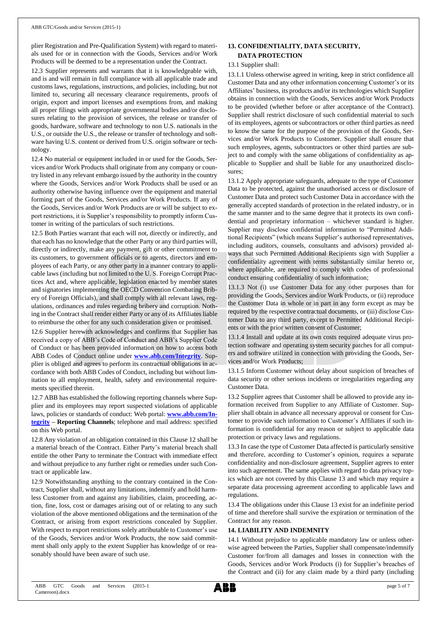plier Registration and Pre-Qualification System) with regard to materials used for or in connection with the Goods, Services and/or Work Products will be deemed to be a representation under the Contract.

12.3 Supplier represents and warrants that it is knowledgeable with, and is and will remain in full compliance with all applicable trade and customs laws, regulations, instructions, and policies, including, but not limited to, securing all necessary clearance requirements, proofs of origin, export and import licenses and exemptions from, and making all proper filings with appropriate governmental bodies and/or disclosures relating to the provision of services, the release or transfer of goods, hardware, software and technology to non U.S. nationals in the U.S., or outside the U.S., the release or transfer of technology and software having U.S. content or derived from U.S. origin software or technology.

12.4 No material or equipment included in or used for the Goods, Services and/or Work Products shall originate from any company or country listed in any relevant embargo issued by the authority in the country where the Goods, Services and/or Work Products shall be used or an authority otherwise having influence over the equipment and material forming part of the Goods, Services and/or Work Products. If any of the Goods, Services and/or Work Products are or will be subject to export restrictions, it is Supplier's responsibility to promptly inform Customer in writing of the particulars of such restrictions.

12.5 Both Parties warrant that each will not, directly or indirectly, and that each has no knowledge that the other Party or any third parties will, directly or indirectly, make any payment, gift or other commitment to its customers, to government officials or to agents, directors and employees of each Party, or any other party in a manner contrary to applicable laws (including but not limited to the U. S. Foreign Corrupt Practices Act and, where applicable, legislation enacted by member states and signatories implementing the OECD Convention Combating Bribery of Foreign Officials), and shall comply with all relevant laws, regulations, ordinances and rules regarding bribery and corruption. Nothing in the Contract shall render either Party or any of its Affiliates liable to reimburse the other for any such consideration given or promised.

12.6 Supplier herewith acknowledges and confirms that Supplier has received a copy of ABB's Code of Conduct and ABB's Supplier Code of Conduct or has been provided information on how to access both ABB Codes of Conduct online under **[www.abb.com/Integrity](http://www.abb.com/Integrity)**. Supplier is obliged and agrees to perform its contractual obligations in accordance with both ABB Codes of Conduct, including but without limitation to all employment, health, safety and environmental requirements specified therein.

12.7 ABB has established the following reporting channels where Supplier and its employees may report suspected violations of applicable laws, policies or standards of conduct: Web portal: **[www.abb.com/In](http://www.abb.com/Integrity)[tegrity](http://www.abb.com/Integrity) – Reporting Channels**; telephone and mail address: specified on this Web portal.

12.8 Any violation of an obligation contained in this Clause 12 shall be a material breach of the Contract. Either Party's material breach shall entitle the other Party to terminate the Contract with immediate effect and without prejudice to any further right or remedies under such Contract or applicable law.

12.9 Notwithstanding anything to the contrary contained in the Contract, Supplier shall, without any limitations, indemnify and hold harmless Customer from and against any liabilities, claim, proceeding, action, fine, loss, cost or damages arising out of or relating to any such violation of the above mentioned obligations and the termination of the Contract, or arising from export restrictions concealed by Supplier. With respect to export restrictions solely attributable to Customer's use of the Goods, Services and/or Work Products, the now said commitment shall only apply to the extent Supplier has knowledge of or reasonably should have been aware of such use.

## **13. CONFIDENTIALITY, DATA SECURITY, DATA PROTECTION**

## 13.1 Supplier shall:

13.1.1 Unless otherwise agreed in writing, keep in strict confidence all Customer Data and any other information concerning Customer's or its Affiliates' business, its products and/or its technologies which Supplier obtains in connection with the Goods, Services and/or Work Products to be provided (whether before or after acceptance of the Contract). Supplier shall restrict disclosure of such confidential material to such of its employees, agents or subcontractors or other third parties as need to know the same for the purpose of the provision of the Goods, Services and/or Work Products to Customer. Supplier shall ensure that such employees, agents, subcontractors or other third parties are subject to and comply with the same obligations of confidentiality as applicable to Supplier and shall be liable for any unauthorized disclosures;

13.1.2 Apply appropriate safeguards, adequate to the type of Customer Data to be protected, against the unauthorised access or disclosure of Customer Data and protect such Customer Data in accordance with the generally accepted standards of protection in the related industry, or in the same manner and to the same degree that it protects its own confidential and proprietary information – whichever standard is higher. Supplier may disclose confidential information to "Permitted Additional Recipients" (which means Supplier's authorised representatives, including auditors, counsels, consultants and advisors) provided always that such Permitted Additional Recipients sign with Supplier a confidentiality agreement with terms substantially similar hereto or, where applicable, are required to comply with codes of professional conduct ensuring confidentiality of such information;

13.1.3 Not (i) use Customer Data for any other purposes than for providing the Goods, Services and/or Work Products, or (ii) reproduce the Customer Data in whole or in part in any form except as may be required by the respective contractual documents, or (iii) disclose Customer Data to any third party, except to Permitted Additional Recipients or with the prior written consent of Customer;

13.1.4 Install and update at its own costs required adequate virus protection software and operating system security patches for all computers and software utilized in connection with providing the Goods, Services and/or Work Products;

13.1.5 Inform Customer without delay about suspicion of breaches of data security or other serious incidents or irregularities regarding any Customer Data.

13.2 Supplier agrees that Customer shall be allowed to provide any information received from Supplier to any Affiliate of Customer. Supplier shall obtain in advance all necessary approval or consent for Customer to provide such information to Customer's Affiliates if such information is confidential for any reason or subject to applicable data protection or privacy laws and regulations.

13.3 In case the type of Customer Data affected is particularly sensitive and therefore, according to Customer's opinion, requires a separate confidentiality and non-disclosure agreement, Supplier agrees to enter into such agreement. The same applies with regard to data privacy topics which are not covered by this Clause 13 and which may require a separate data processing agreement according to applicable laws and regulations.

13.4 The obligations under this Clause 13 exist for an indefinite period of time and therefore shall survive the expiration or termination of the Contract for any reason.

## **14. LIABILITY AND INDEMNITY**

14.1 Without prejudice to applicable mandatory law or unless otherwise agreed between the Parties, Supplier shall compensate/indemnify Customer for/from all damages and losses in connection with the Goods, Services and/or Work Products (i) for Supplier's breaches of the Contract and (ii) for any claim made by a third party (including

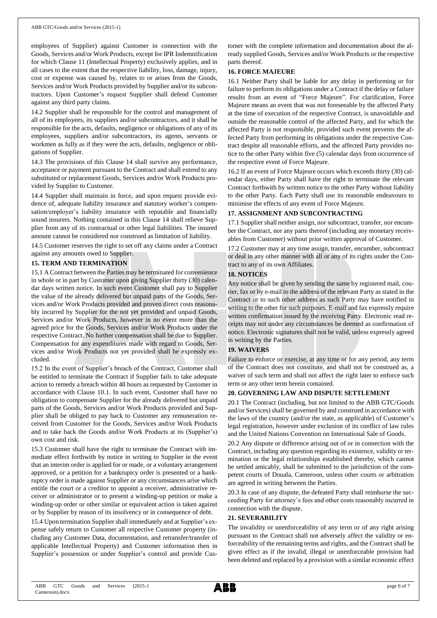employees of Supplier) against Customer in connection with the Goods, Services and/or Work Products, except for IPR Indemnification for which Clause 11 (Intellectual Property) exclusively applies, and in all cases to the extent that the respective liability, loss, damage, injury, cost or expense was caused by, relates to or arises from the Goods, Services and/or Work Products provided by Supplier and/or its subcontractors. Upon Customer's request Supplier shall defend Customer against any third party claims.

14.2 Supplier shall be responsible for the control and management of all of its employees, its suppliers and/or subcontractors, and it shall be responsible for the acts, defaults, negligence or obligations of any of its employees, suppliers and/or subcontractors, its agents, servants or workmen as fully as if they were the acts, defaults, negligence or obligations of Supplier.

14.3 The provisions of this Clause 14 shall survive any performance, acceptance or payment pursuant to the Contract and shall extend to any substituted or replacement Goods, Services and/or Work Products provided by Supplier to Customer.

14.4 Supplier shall maintain in force, and upon request provide evidence of, adequate liability insurance and statutory worker's compensation/employer's liability insurance with reputable and financially sound insurers. Nothing contained in this Clause 14 shall relieve Supplier from any of its contractual or other legal liabilities. The insured amount cannot be considered nor construed as limitation of liability.

14.5 Customer reserves the right to set off any claims under a Contract against any amounts owed to Supplier.

## **15. TERM AND TERMINATION**

15.1 A Contract between the Parties may be terminated for convenience in whole or in part by Customer upon giving Supplier thirty (30) calendar days written notice. In such event Customer shall pay to Supplier the value of the already delivered but unpaid parts of the Goods, Services and/or Work Products provided and proven direct costs reasonably incurred by Supplier for the not yet provided and unpaid Goods, Services and/or Work Products, however in no event more than the agreed price for the Goods, Services and/or Work Products under the respective Contract. No further compensation shall be due to Supplier. Compensation for any expenditures made with regard to Goods, Services and/or Work Products not yet provided shall be expressly excluded.

15.2 In the event of Supplier's breach of the Contract, Customer shall be entitled to terminate the Contract if Supplier fails to take adequate action to remedy a breach within 48 hours as requested by Customer in accordance with Clause 10.1. In such event, Customer shall have no obligation to compensate Supplier for the already delivered but unpaid parts of the Goods, Services and/or Work Products provided and Supplier shall be obliged to pay back to Customer any remuneration received from Customer for the Goods, Services and/or Work Products and to take back the Goods and/or Work Products at its (Supplier's) own cost and risk.

15.3 Customer shall have the right to terminate the Contract with immediate effect forthwith by notice in writing to Supplier in the event that an interim order is applied for or made, or a voluntary arrangement approved, or a petition for a bankruptcy order is presented or a bankruptcy order is made against Supplier or any circumstances arise which entitle the court or a creditor to appoint a receiver, administrative receiver or administrator or to present a winding-up petition or make a winding-up order or other similar or equivalent action is taken against or by Supplier by reason of its insolvency or in consequence of debt.

15.4 Upon termination Supplier shall immediately and at Supplier's expense safely return to Customer all respective Customer property (including any Customer Data, documentation, and retransfer/transfer of applicable Intellectual Property) and Customer information then in Supplier's possession or under Supplier's control and provide Customer with the complete information and documentation about the already supplied Goods, Services and/or Work Products or the respective parts thereof.

## **16. FORCE MAJEURE**

16.1 Neither Party shall be liable for any delay in performing or for failure to perform its obligations under a Contract if the delay or failure results from an event of "Force Majeure". For clarification, Force Majeure means an event that was not foreseeable by the affected Party at the time of execution of the respective Contract, is unavoidable and outside the reasonable control of the affected Party, and for which the affected Party is not responsible, provided such event prevents the affected Party from performing its obligations under the respective Contract despite all reasonable efforts, and the affected Party provides notice to the other Party within five (5) calendar days from occurrence of the respective event of Force Majeure.

16.2 If an event of Force Majeure occurs which exceeds thirty (30) calendar days, either Party shall have the right to terminate the relevant Contract forthwith by written notice to the other Party without liability to the other Party. Each Party shall use its reasonable endeavours to minimise the effects of any event of Force Majeure.

## **17. ASSIGNMENT AND SUBCONTRACTING**

17.1 Supplier shall neither assign, nor subcontract, transfer, nor encumber the Contract, nor any parts thereof (including any monetary receivables from Customer) without prior written approval of Customer.

17.2 Customer may at any time assign, transfer, encumber, subcontract or deal in any other manner with all or any of its rights under the Contract to any of its own Affiliates.

## **18. NOTICES**

Any notice shall be given by sending the same by registered mail, courier, fax or by e-mail to the address of the relevant Party as stated in the Contract or to such other address as such Party may have notified in writing to the other for such purposes. E-mail and fax expressly require written confirmation issued by the receiving Party. Electronic read receipts may not under any circumstances be deemed as confirmation of notice. Electronic signatures shall not be valid, unless expressly agreed in writing by the Parties.

## **19. WAIVERS**

Failure to enforce or exercise, at any time or for any period, any term of the Contract does not constitute, and shall not be construed as, a waiver of such term and shall not affect the right later to enforce such term or any other term herein contained.

## **20. GOVERNING LAW AND DISPUTE SETTLEMENT**

20.1 The Contract (including, but not limited to the ABB GTC/Goods and/or Services) shall be governed by and construed in accordance with the laws of the country (and/or the state, as applicable) of Customer's legal registration, however under exclusion of its conflict of law rules and the United Nations Convention on International Sale of Goods.

20.2 Any dispute or difference arising out of or in connection with the Contract, including any question regarding its existence, validity or termination or the legal relationships established thereby, which cannot be settled amicably, shall be submitted to the jurisdiction of the competent courts of Douala, Cameroon, unless other courts or arbitration are agreed in writing between the Parties.

20.3 In case of any dispute, the defeated Party shall reimburse the succeeding Party for attorney's fees and other costs reasonably incurred in connection with the dispute.

## **21. SEVERABILITY**

The invalidity or unenforceability of any term or of any right arising pursuant to the Contract shall not adversely affect the validity or enforceability of the remaining terms and rights, and the Contract shall be given effect as if the invalid, illegal or unenforceable provision had been deleted and replaced by a provision with a similar economic effect